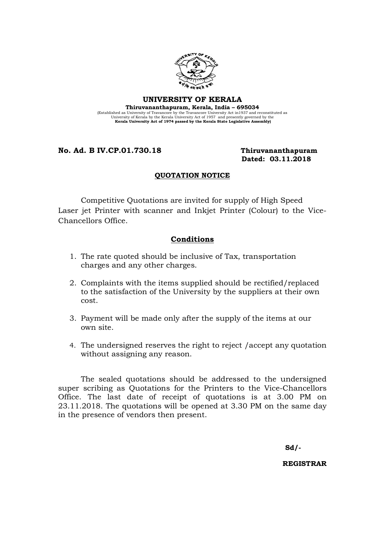

UNIVERSITY OF KERALA

Thiruvananthapuram, Kerala, India – 695034 (Established as University of Travancore by the Travancore University Act in 1937 and reconstituted as University Act Assembly the Kerala University Act of 1957 and presently governed by the Kerala University Act of 1974 p

No. Ad. B IV.CP.01.730.18 Thiruvananthapuram

Dated: 03.11.2018

## QUOTATION NOTICE

Competitive Quotations are invited for supply of High Speed Laser jet Printer with scanner and Inkjet Printer (Colour) to the Vice-Chancellors Office.

## Conditions

- 1. The rate quoted should be inclusive of Tax, transportation charges and any other charges.
- 2. Complaints with the items supplied should be rectified/replaced to the satisfaction of the University by the suppliers at their own cost.
- 3. Payment will be made only after the supply of the items at our own site.
- 4. The undersigned reserves the right to reject /accept any quotation without assigning any reason.

The sealed quotations should be addressed to the undersigned super scribing as Quotations for the Printers to the Vice-Chancellors Office. The last date of receipt of quotations is at 3.00 PM on 23.11.2018. The quotations will be opened at 3.30 PM on the same day in the presence of vendors then present.

Sd/-

REGISTRAR